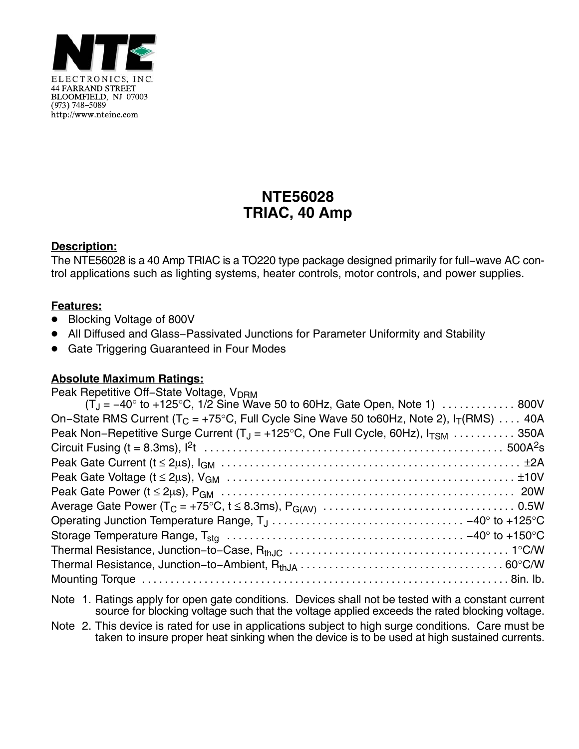

# **NTE56028 TRIAC, 40 Amp**

### **Description:**

The NTE56028 is a 40 Amp TRIAC is a TO220 type package designed primarily for full−wave AC control applications such as lighting systems, heater controls, motor controls, and power supplies.

### **Features:**

- Blocking Voltage of 800V
- All Diffused and Glass−Passivated Junctions for Parameter Uniformity and Stability
- **Gate Triggering Guaranteed in Four Modes**

#### **Absolute Maximum Ratings:**

| Peak Repetitive Off-State Voltage, V <sub>DRM</sub>                                                                                             |  |
|-------------------------------------------------------------------------------------------------------------------------------------------------|--|
| $(T_1 = -40^{\circ}$ to +125°C, 1/2 Sine Wave 50 to 60Hz, Gate Open, Note 1)  800V                                                              |  |
| On–State RMS Current ( $T_c$ = +75°C, Full Cycle Sine Wave 50 to60Hz, Note 2), $I_T(RMS)$ 40A                                                   |  |
| Peak Non-Repetitive Surge Current ( $T_J$ = +125°C, One Full Cycle, 60Hz), $I_{TSM}$ 350A                                                       |  |
|                                                                                                                                                 |  |
|                                                                                                                                                 |  |
|                                                                                                                                                 |  |
|                                                                                                                                                 |  |
|                                                                                                                                                 |  |
| Operating Junction Temperature Range, $T_J \ldots \ldots \ldots \ldots \ldots \ldots \ldots \ldots \ldots \ldots \ldots -40^{\circ}$ to +125 °C |  |
|                                                                                                                                                 |  |
|                                                                                                                                                 |  |
|                                                                                                                                                 |  |
|                                                                                                                                                 |  |
|                                                                                                                                                 |  |

- Note 1. Ratings apply for open gate conditions. Devices shall not be tested with a constant current source for blocking voltage such that the voltage applied exceeds the rated blocking voltage.
- Note 2. This device is rated for use in applications subject to high surge conditions. Care must be taken to insure proper heat sinking when the device is to be used at high sustained currents.